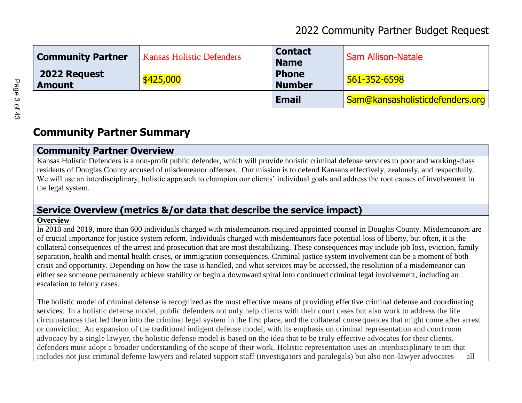## 2022 Community Partner Budget Request

| <b>Community Partner</b>      | <b>Kansas Holistic Defenders</b> | <b>Contact</b><br><b>Name</b> | <b>Sam Allison-Natale</b>       |
|-------------------------------|----------------------------------|-------------------------------|---------------------------------|
| 2022 Request<br><b>Amount</b> | \$425,000                        | <b>Phone</b><br><b>Number</b> | 561-352-6598                    |
|                               |                                  | <b>Email</b>                  | Sam@kansasholisticdefenders.org |

# **Community Partner Summary**

### **Community Partner Overview**

Kansas Holistic Defenders is a non-profit public defender, which will provide holistic criminal defense services to poor and working-class residents of Douglas County accused of misdemeanor offenses. Our mission is to defend Kansans effectively, zealously, and respectfully. We will use an interdisciplinary, holistic approach to champion our clients' individual goals and address the root causes of involvement in the legal system.

### **Service Overview (metrics &/or data that describe the service impact)**

#### **Overview**

In 2018 and 2019, more than 600 individuals charged with misdemeanors required appointed counsel in Douglas County. Misdemeanors are of crucial importance for justice system reform. Individuals charged with misdemeanors face potential loss of liberty, but often, it is the collateral consequences of the arrest and prosecution that are most destabilizing. These consequences may include job loss, eviction, family separation, health and mental health crises, or immigration consequences. Criminal justice system involvement can be a moment of both crisis and opportunity. Depending on how the case is handled, and what services may be accessed, the resolution of a misdemeanor can either see someone permanently achieve stability or begin a downward spiral into continued criminal legal involvement, including an escalation to felony cases.

The holistic model of criminal defense is recognized as the most effective means of providing effective criminal defense and coordinating services. In a holistic defense model, public defenders not only help clients with their court cases but also work to address the life circumstances that led them into the criminal legal system in the first place, and the collateral consequences that might come after arrest or conviction. An expansion of the traditional indigent defense model, with its emphasis on criminal representation and courtroom advocacy by a single lawyer, the holistic defense model is based on the idea that to be truly effective advocates for their clients, defenders must adopt a broader understanding of the scope of their work. Holistic representation uses an interdisciplinary te am that includes not just criminal defense lawyers and related support staff (investigators and paralegals) but also non-lawyer advocates — all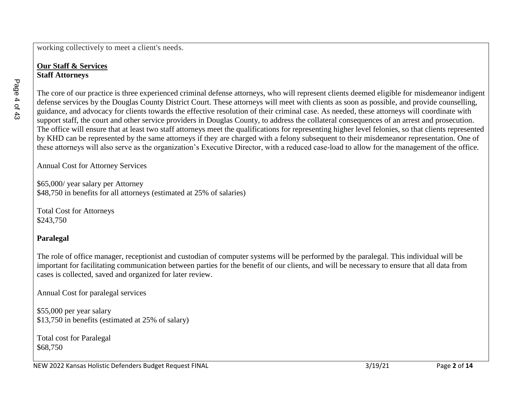working collectively to meet a client's needs.

#### **Our Staff & Services Staff Attorneys**

The core of our practice is three experienced criminal defense attorneys, who will represent clients deemed eligible for misdemeanor indigent defense services by the Douglas County District Court. These attorneys will meet with clients as soon as possible, and provide counselling, guidance, and advocacy for clients towards the effective resolution of their criminal case. As needed, these attorneys will coordinate with support staff, the court and other service providers in Douglas County, to address the collateral consequences of an arrest and prosecution. The office will ensure that at least two staff attorneys meet the qualifications for representing higher level felonies, so that clients represented by KHD can be represented by the same attorneys if they are charged with a felony subsequent to their misdemeanor representation. One of these attorneys will also serve as the organization's Executive Director, with a reduced case-load to allow for the management of the office.

Annual Cost for Attorney Services

\$65,000/ year salary per Attorney \$48,750 in benefits for all attorneys (estimated at 25% of salaries)

Total Cost for Attorneys \$243,750

### **Paralegal**

The role of office manager, receptionist and custodian of computer systems will be performed by the paralegal. This individual will be important for facilitating communication between parties for the benefit of our clients, and will be necessary to ensure that all data from cases is collected, saved and organized for later review.

Annual Cost for paralegal services

\$55,000 per year salary \$13,750 in benefits (estimated at 25% of salary)

Total cost for Paralegal \$68,750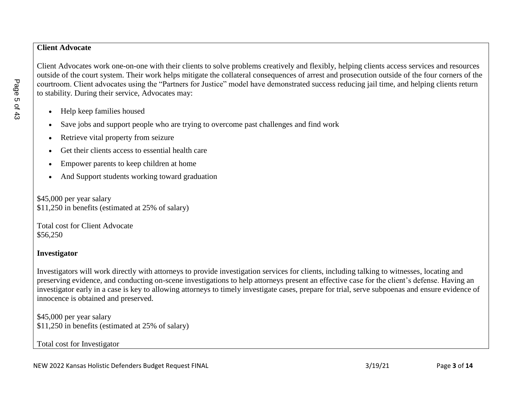#### **Client Advocate**

Client Advocates work one-on-one with their clients to solve problems creatively and flexibly, helping clients access services and resources outside of the court system. Their work helps mitigate the collateral consequences of arrest and prosecution outside of the four corners of the courtroom. Client advocates using the "Partners for Justice" model have demonstrated success reducing jail time, and helping clients return to stability. During their service, Advocates may:

- Help keep families housed
- Save jobs and support people who are trying to overcome past challenges and find work
- Retrieve vital property from seizure
- Get their clients access to essential health care
- Empower parents to keep children at home
- And Support students working toward graduation

\$45,000 per year salary \$11,250 in benefits (estimated at 25% of salary)

Total cost for Client Advocate \$56,250

### **Investigator**

Investigators will work directly with attorneys to provide investigation services for clients, including talking to witnesses, locating and preserving evidence, and conducting on-scene investigations to help attorneys present an effective case for the client's defense. Having an investigator early in a case is key to allowing attorneys to timely investigate cases, prepare for trial, serve subpoenas and ensure evidence of innocence is obtained and preserved.

\$45,000 per year salary \$11,250 in benefits (estimated at 25% of salary)

Total cost for Investigator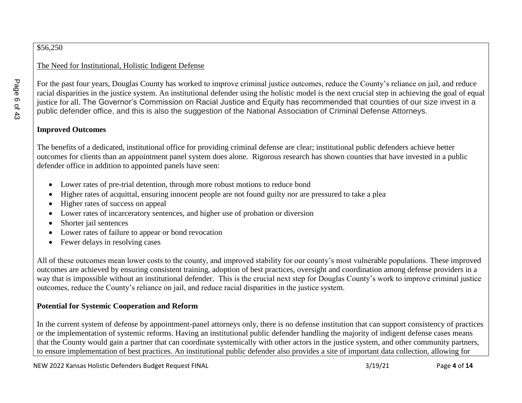### \$56,250

### The Need for Institutional, Holistic Indigent Defense

For the past four years, Douglas County has worked to improve criminal justice outcomes, reduce the County's reliance on jail, and reduce racial disparities in the justice system. An institutional defender using the holistic model is the next crucial step in achieving the goal of equal justice for all. The Governor's Commission on Racial Justice and Equity has recommended that counties of our size invest in a public defender office, and this is also the suggestion of the National Association of Criminal Defense Attorneys.

### **Improved Outcomes**

The benefits of a dedicated, institutional office for providing criminal defense are clear; institutional public defenders achieve better outcomes for clients than an appointment panel system does alone. Rigorous research has shown counties that have invested in a public defender office in addition to appointed panels have seen:

- Lower rates of pre-trial detention, through more robust motions to reduce bond
- Higher rates of acquittal, ensuring innocent people are not found guilty nor are pressured to take a plea
- Higher rates of success on appeal
- Lower rates of incarceratory sentences, and higher use of probation or diversion
- Shorter jail sentences
- Lower rates of failure to appear or bond revocation
- Fewer delays in resolving cases

All of these outcomes mean lower costs to the county, and improved stability for our county's most vulnerable populations. These improved outcomes are achieved by ensuring consistent training, adoption of best practices, oversight and coordination among defense providers in a way that is impossible without an institutional defender. This is the crucial next step for Douglas County's work to improve criminal justice outcomes, reduce the County's reliance on jail, and reduce racial disparities in the justice system.

### **Potential for Systemic Cooperation and Reform**

In the current system of defense by appointment-panel attorneys only, there is no defense institution that can support consistency of practices or the implementation of systemic reforms. Having an institutional public defender handling the majority of indigent defense cases means that the County would gain a partner that can coordinate systemically with other actors in the justice system, and other community partners, to ensure implementation of best practices. An institutional public defender also provides a site of important data collection, allowing for

Page 6 of 43 Page 6 of 43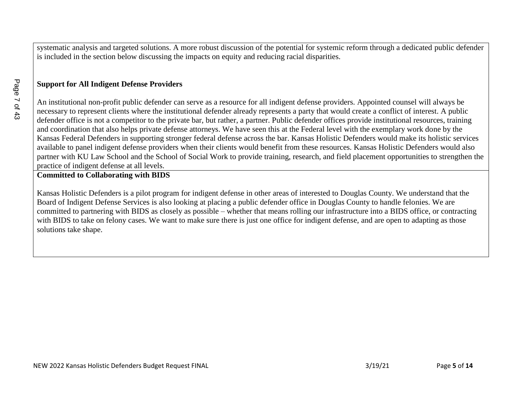systematic analysis and targeted solutions. A more robust discussion of the potential for systemic reform through a dedicated public defender is included in the section below discussing the impacts on equity and reducing racial disparities.

#### **Support for All Indigent Defense Providers**

An institutional non-profit public defender can serve as a resource for all indigent defense providers. Appointed counsel will always be necessary to represent clients where the institutional defender already represents a party that would create a conflict of interest. A public defender office is not a competitor to the private bar, but rather, a partner. Public defender offices provide institutional resources, training and coordination that also helps private defense attorneys. We have seen this at the Federal level with the exemplary work done by the Kansas Federal Defenders in supporting stronger federal defense across the bar. Kansas Holistic Defenders would make its holistic services available to panel indigent defense providers when their clients would benefit from these resources. Kansas Holistic Defenders would also partner with KU Law School and the School of Social Work to provide training, research, and field placement opportunities to strengthen the practice of indigent defense at all levels.

#### **Committed to Collaborating with BIDS**

Kansas Holistic Defenders is a pilot program for indigent defense in other areas of interested to Douglas County. We understand that the Board of Indigent Defense Services is also looking at placing a public defender office in Douglas County to handle felonies. We are committed to partnering with BIDS as closely as possible – whether that means rolling our infrastructure into a BIDS office, or contracting with BIDS to take on felony cases. We want to make sure there is just one office for indigent defense, and are open to adapting as those solutions take shape.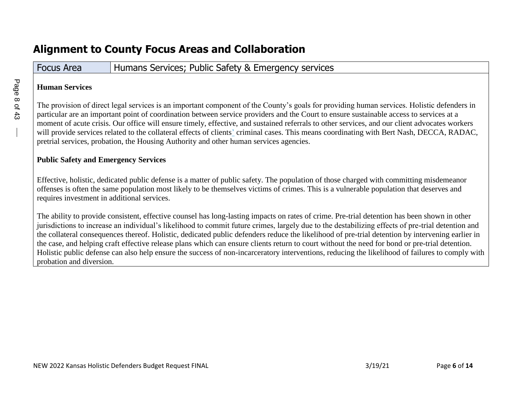# **Alignment to County Focus Areas and Collaboration**

### Focus Area **Humans Services; Public Safety & Emergency services**

### **Human Services**

The provision of direct legal services is an important component of the County's goals for providing human services. Holistic defenders in particular are an important point of coordination between service providers and the Court to ensure sustainable access to services at a moment of acute crisis. Our office will ensure timely, effective, and sustained referrals to other services, and our client advocates workers will provide services related to the collateral effects of clients' criminal cases. This means coordinating with Bert Nash, DECCA, RADAC, pretrial services, probation, the Housing Authority and other human services agencies.

### **Public Safety and Emergency Services**

Effective, holistic, dedicated public defense is a matter of public safety. The population of those charged with committing misdemeanor offenses is often the same population most likely to be themselves victims of crimes. This is a vulnerable population that deserves and requires investment in additional services.

The ability to provide consistent, effective counsel has long-lasting impacts on rates of crime. Pre-trial detention has been shown in other jurisdictions to increase an individual's likelihood to commit future crimes, largely due to the destabilizing effects of pre-trial detention and the collateral consequences thereof. Holistic, dedicated public defenders reduce the likelihood of pre-trial detention by intervening earlier in the case, and helping craft effective release plans which can ensure clients return to court without the need for bond or pre-trial detention. Holistic public defense can also help ensure the success of non-incarceratory interventions, reducing the likelihood of failures to comply with probation and diversion.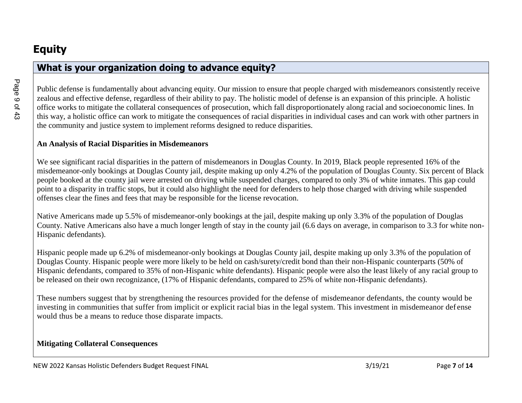### **What is your organization doing to advance equity?**

Public defense is fundamentally about advancing equity. Our mission to ensure that people charged with misdemeanors consistently receive zealous and effective defense, regardless of their ability to pay. The holistic model of defense is an expansion of this principle. A holistic office works to mitigate the collateral consequences of prosecution, which fall disproportionately along racial and socioeconomic lines. In this way, a holistic office can work to mitigate the consequences of racial disparities in individual cases and can work with other partners in the community and justice system to implement reforms designed to reduce disparities.

### **An Analysis of Racial Disparities in Misdemeanors**

We see significant racial disparities in the pattern of misdemeanors in Douglas County. In 2019, Black people represented 16% of the misdemeanor-only bookings at Douglas County jail, despite making up only 4.2% of the population of Douglas County. Six percent of Black people booked at the county jail were arrested on driving while suspended charges, compared to only 3% of white inmates. This gap could point to a disparity in traffic stops, but it could also highlight the need for defenders to help those charged with driving while suspended offenses clear the fines and fees that may be responsible for the license revocation.

Native Americans made up 5.5% of misdemeanor-only bookings at the jail, despite making up only 3.3% of the population of Douglas County. Native Americans also have a much longer length of stay in the county jail (6.6 days on average, in comparison to 3.3 for white non-Hispanic defendants).

Hispanic people made up 6.2% of misdemeanor-only bookings at Douglas County jail, despite making up only 3.3% of the population of Douglas County. Hispanic people were more likely to be held on cash/surety/credit bond than their non-Hispanic counterparts (50% of Hispanic defendants, compared to 35% of non-Hispanic white defendants). Hispanic people were also the least likely of any racial group to be released on their own recognizance, (17% of Hispanic defendants, compared to 25% of white non-Hispanic defendants).

These numbers suggest that by strengthening the resources provided for the defense of misdemeanor defendants, the county would be investing in communities that suffer from implicit or explicit racial bias in the legal system. This investment in misdemeanor def ense would thus be a means to reduce those disparate impacts.

### **Mitigating Collateral Consequences**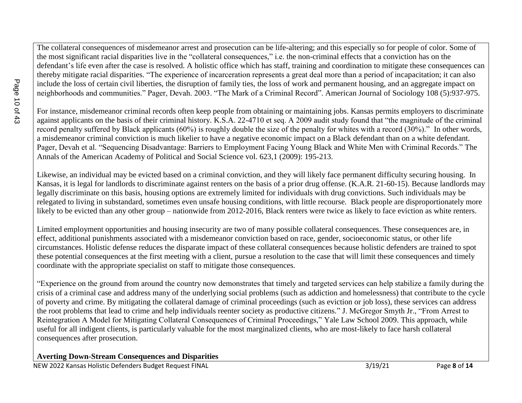The collateral consequences of misdemeanor arrest and prosecution can be life-altering; and this especially so for people of color. Some of the most significant racial disparities live in the "collateral consequences," i.e. the non-criminal effects that a conviction has on the defendant's life even after the case is resolved. A holistic office which has staff, training and coordination to mitigate these consequences can thereby mitigate racial disparities. "The experience of incarceration represents a great deal more than a period of incapacitation; it can also include the loss of certain civil liberties, the disruption of family ties, the loss of work and permanent housing, and an aggregate impact on neighborhoods and communities." Pager, Devah. 2003. "The Mark of a Criminal Record". American Journal of Sociology 108 (5):937-975.

For instance, misdemeanor criminal records often keep people from obtaining or maintaining jobs. Kansas permits employers to discriminate against applicants on the basis of their criminal history. K.S.A. 22-4710 et seq. A 2009 audit study found that "the magnitude of the criminal record penalty suffered by Black applicants (60%) is roughly double the size of the penalty for whites with a record (30%)." In other words, a misdemeanor criminal conviction is much likelier to have a negative economic impact on a Black defendant than on a white defendant. Pager, Devah et al. "Sequencing Disadvantage: Barriers to Employment Facing Young Black and White Men with Criminal Records." The Annals of the American Academy of Political and Social Science vol. 623,1 (2009): 195-213.

Likewise, an individual may be evicted based on a criminal conviction, and they will likely face permanent difficulty securing housing. In Kansas, it is legal for landlords to discriminate against renters on the basis of a prior drug offense. (K.A.R. 21-60-15). Because landlords may legally discriminate on this basis, housing options are extremely limited for individuals with drug convictions. Such individuals may be relegated to living in substandard, sometimes even unsafe housing conditions, with little recourse. Black people are disproportionately more likely to be evicted than any other group – nationwide from 2012-2016, Black renters were twice as likely to face eviction as white renters.

Limited employment opportunities and housing insecurity are two of many possible collateral consequences. These consequences are, in effect, additional punishments associated with a misdemeanor conviction based on race, gender, socioeconomic status, or other life circumstances. Holistic defense reduces the disparate impact of these collateral consequences because holistic defenders are trained to spot these potential consequences at the first meeting with a client, pursue a resolution to the case that will limit these consequences and timely coordinate with the appropriate specialist on staff to mitigate those consequences.

"Experience on the ground from around the country now demonstrates that timely and targeted services can help stabilize a family during the crisis of a criminal case and address many of the underlying social problems (such as addiction and homelessness) that contribute to the cycle of poverty and crime. By mitigating the collateral damage of criminal proceedings (such as eviction or job loss), these services can address the root problems that lead to crime and help individuals reenter society as productive citizens." J. McGregor Smyth Jr., "From Arrest to Reintegration A Model for Mitigating Collateral Consequences of Criminal Proceedings," Yale Law School 2009. This approach, while useful for all indigent clients, is particularly valuable for the most marginalized clients, who are most-likely to face harsh collateral consequences after prosecution.

### **Averting Down-Stream Consequences and Disparities**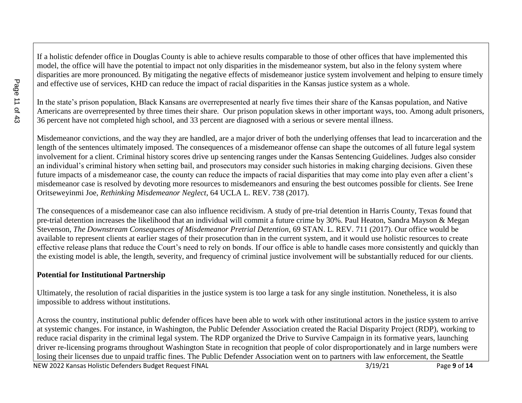If a holistic defender office in Douglas County is able to achieve results comparable to those of other offices that have implemented this model, the office will have the potential to impact not only disparities in the misdemeanor system, but also in the felony system where disparities are more pronounced. By mitigating the negative effects of misdemeanor justice system involvement and helping to ensure timely and effective use of services, KHD can reduce the impact of racial disparities in the Kansas justice system as a whole.

In the state's prison population, Black Kansans are overrepresented at nearly five times their share of the Kansas population, and Native Americans are overrepresented by three times their share. Our prison population skews in other important ways, too. Among adult prisoners, 36 percent have not completed high school, and 33 percent are diagnosed with a serious or severe mental illness.

Misdemeanor convictions, and the way they are handled, are a major driver of both the underlying offenses that lead to incarceration and the length of the sentences ultimately imposed. The consequences of a misdemeanor offense can shape the outcomes of all future legal system involvement for a client. Criminal history scores drive up sentencing ranges under the Kansas Sentencing Guidelines. Judges also consider an individual's criminal history when setting bail, and prosecutors may consider such histories in making charging decisions. Given these future impacts of a misdemeanor case, the county can reduce the impacts of racial disparities that may come into play even after a client's misdemeanor case is resolved by devoting more resources to misdemeanors and ensuring the best outcomes possible for clients. See Irene Oritseweyinmi Joe, *Rethinking Misdemeanor Neglect*, 64 UCLA L. REV. 738 (2017).

The consequences of a misdemeanor case can also influence recidivism. A study of pre-trial detention in Harris County, Texas found that pre-trial detention increases the likelihood that an individual will commit a future crime by 30%. Paul Heaton, Sandra Mayson & Megan Stevenson, *The Downstream Consequences of Misdemeanor Pretrial Detention*, 69 STAN. L. REV. 711 (2017). Our office would be available to represent clients at earlier stages of their prosecution than in the current system, and it would use holistic resources to create effective release plans that reduce the Court's need to rely on bonds. If our office is able to handle cases more consistently and quickly than the existing model is able, the length, severity, and frequency of criminal justice involvement will be substantially reduced for our clients.

### **Potential for Institutional Partnership**

Ultimately, the resolution of racial disparities in the justice system is too large a task for any single institution. Nonetheless, it is also impossible to address without institutions.

NEW 2022 Kansas Holistic Defenders Budget Request FINAL 3/19/21 Page 9 of 14 Across the country, institutional public defender offices have been able to work with other institutional actors in the justice system to arrive at systemic changes. For instance, in Washington, the Public Defender Association created the Racial Disparity Project (RDP), working to reduce racial disparity in the criminal legal system. The RDP organized the Drive to Survive Campaign in its formative years, launching driver re-licensing programs throughout Washington State in recognition that people of color disproportionately and in large numbers were losing their licenses due to unpaid traffic fines. The Public Defender Association went on to partners with law enforcement, the Seattle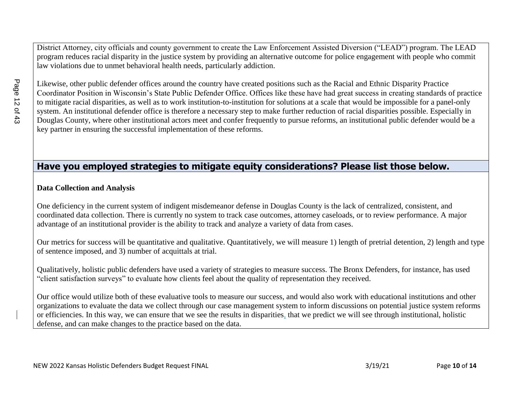District Attorney, city officials and county government to create the Law Enforcement Assisted Diversion ("LEAD") program. The LEAD program reduces racial disparity in the justice system by providing an alternative outcome for police engagement with people who commit law violations due to unmet behavioral health needs, particularly addiction.

Likewise, other public defender offices around the country have created positions such as the Racial and Ethnic Disparity Practice Coordinator Position in Wisconsin's State Public Defender Office. Offices like these have had great success in creating standards of practice to mitigate racial disparities, as well as to work institution-to-institution for solutions at a scale that would be impossible for a panel-only system. An institutional defender office is therefore a necessary step to make further reduction of racial disparities possible. Especially in Douglas County, where other institutional actors meet and confer frequently to pursue reforms, an institutional public defender would be a key partner in ensuring the successful implementation of these reforms.

### **Have you employed strategies to mitigate equity considerations? Please list those below.**

#### **Data Collection and Analysis**

One deficiency in the current system of indigent misdemeanor defense in Douglas County is the lack of centralized, consistent, and coordinated data collection. There is currently no system to track case outcomes, attorney caseloads, or to review performance. A major advantage of an institutional provider is the ability to track and analyze a variety of data from cases.

Our metrics for success will be quantitative and qualitative. Quantitatively, we will measure 1) length of pretrial detention, 2) length and type of sentence imposed, and 3) number of acquittals at trial.

Qualitatively, holistic public defenders have used a variety of strategies to measure success. The Bronx Defenders, for instance, has used "client satisfaction surveys" to evaluate how clients feel about the quality of representation they received.

Our office would utilize both of these evaluative tools to measure our success, and would also work with educational institutions and other organizations to evaluate the data we collect through our case management system to inform discussions on potential justice system reforms or efficiencies. In this way, we can ensure that we see the results in disparities, that we predict we will see through institutional, holistic defense, and can make changes to the practice based on the data.

Page 12 of 43 Page 12 of 43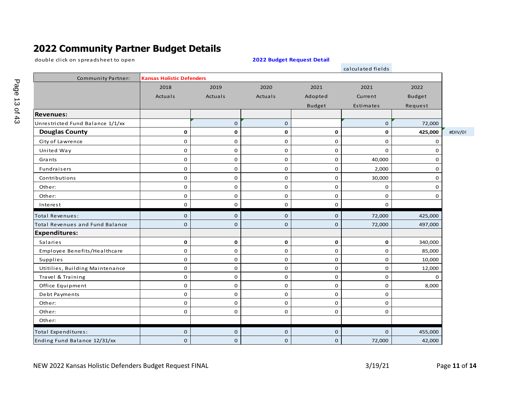# **2022 Community Partner Budget Details**

double click on spreadsheet to open

#### **2022 Budget Request Detail**

|                                  |                                  |             |             |               | calculated fields |               |         |
|----------------------------------|----------------------------------|-------------|-------------|---------------|-------------------|---------------|---------|
| <b>Community Partner:</b>        | <b>Kansas Holistic Defenders</b> |             |             |               |                   |               |         |
|                                  | 2018                             | 2019        | 2020        | 2021          | 2021              | 2022          |         |
|                                  | Actuals                          | Actuals     | Actuals     | Adopted       | Current           | <b>Budget</b> |         |
|                                  |                                  |             |             | <b>Budget</b> | Estimates         | Request       |         |
| <b>Revenues:</b>                 |                                  |             |             |               |                   |               |         |
| Unrestricted Fund Balance 1/1/xx |                                  | $\mathbf 0$ | $\mathbf 0$ |               | $\mathbf 0$       | 72,000        |         |
| <b>Douglas County</b>            | 0                                | 0           | $\mathbf 0$ | 0             | $\mathbf 0$       | 425,000       | #DIV/0! |
| City of Lawrence                 | 0                                | 0           | 0           | 0             | 0                 | 0             |         |
| United Way                       | 0                                | 0           | 0           | 0             | 0                 | $\Omega$      |         |
| Grants                           | 0                                | $\mathbf 0$ | 0           | $\mathbf 0$   | 40,000            | 0             |         |
| Fundraisers                      | 0                                | 0           | 0           | $\mathbf 0$   | 2,000             | 0             |         |
| Contributions                    | 0                                | 0           | 0           | 0             | 30,000            | 0             |         |
| Other:                           | 0                                | 0           | 0           | 0             | 0                 | 0             |         |
| Other:                           | 0                                | $\mathbf 0$ | 0           | $\mathbf 0$   | 0                 | 0             |         |
| Interest                         | 0                                | 0           | 0           | $\mathbf 0$   | $\mathbf 0$       |               |         |
| <b>Total Revenues:</b>           | 0                                | $\mathbf 0$ | $\mathbf 0$ | $\mathbf 0$   | 72,000            | 425,000       |         |
| Total Revenues and Fund Balance  | $\Omega$                         | $\mathbf 0$ | $\Omega$    | $\mathbf 0$   | 72,000            | 497,000       |         |
| <b>Expenditures:</b>             |                                  |             |             |               |                   |               |         |
| Salaries                         | 0                                | $\mathbf 0$ | 0           | 0             | $\mathbf 0$       | 340,000       |         |
| Employee Benefits/Healthcare     | 0                                | $\mathbf 0$ | 0           | 0             | $\mathbf 0$       | 85,000        |         |
| Supplies                         | 0                                | $\mathbf 0$ | $\mathbf 0$ | $\mathbf 0$   | $\mathbf 0$       | 10,000        |         |
| Utitilies, Building Maintenance  | 0                                | $\mathbf 0$ | 0           | $\mathbf 0$   | 0                 | 12,000        |         |
| Travel & Training                | 0                                | $\mathbf 0$ | 0           | 0             | $\mathbf 0$       | $\Omega$      |         |
| Office Equipment                 | 0                                | $\mathbf 0$ | 0           | $\mathbf 0$   | $\mathbf 0$       | 8,000         |         |
| Debt Payments                    | 0                                | 0           | 0           | 0             | 0                 |               |         |
| Other:                           | 0                                | 0           | 0           | $\mathbf 0$   | $\mathbf 0$       |               |         |
| Other:                           | 0                                | 0           | 0           | 0             | 0                 |               |         |
| Other:                           |                                  |             |             |               |                   |               |         |
| <b>Total Expenditures:</b>       | 0                                | $\mathbf 0$ | 0           | $\mathbf 0$   | $\mathbf 0$       | 455,000       |         |
| Ending Fund Balance 12/31/xx     | 0                                | $\mathbf 0$ | $\mathbf 0$ | $\mathbf 0$   | 72,000            | 42,000        |         |

NEW 2022 Kansas Holistic Defenders Budget Request FINAL 3/19/21 Page 11 of 14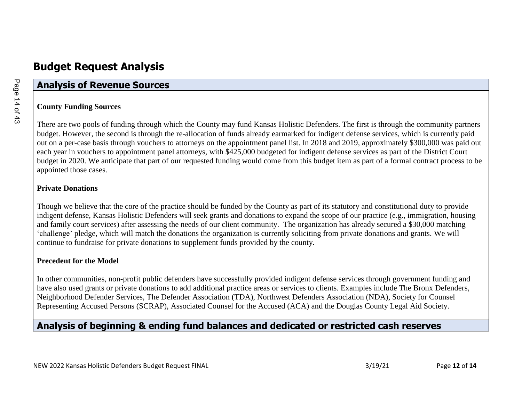### **Analysis of Revenue Sources**

### **County Funding Sources**

There are two pools of funding through which the County may fund Kansas Holistic Defenders. The first is through the community partners budget. However, the second is through the re-allocation of funds already earmarked for indigent defense services, which is currently paid out on a per-case basis through vouchers to attorneys on the appointment panel list. In 2018 and 2019, approximately \$300,000 was paid out each year in vouchers to appointment panel attorneys, with \$425,000 budgeted for indigent defense services as part of the District Court budget in 2020. We anticipate that part of our requested funding would come from this budget item as part of a formal contract process to be appointed those cases.

#### **Private Donations**

Though we believe that the core of the practice should be funded by the County as part of its statutory and constitutional duty to provide indigent defense, Kansas Holistic Defenders will seek grants and donations to expand the scope of our practice (e.g., immigration, housing and family court services) after assessing the needs of our client community. The organization has already secured a \$30,000 matching 'challenge' pledge, which will match the donations the organization is currently soliciting from private donations and grants. We will continue to fundraise for private donations to supplement funds provided by the county.

### **Precedent for the Model**

In other communities, non-profit public defenders have successfully provided indigent defense services through government funding and have also used grants or private donations to add additional practice areas or services to clients. Examples include The Bronx Defenders, Neighborhood Defender Services, The Defender Association (TDA), Northwest Defenders Association (NDA), Society for Counsel Representing Accused Persons (SCRAP), Associated Counsel for the Accused (ACA) and the Douglas County Legal Aid Society.

### **Analysis of beginning & ending fund balances and dedicated or restricted cash reserves**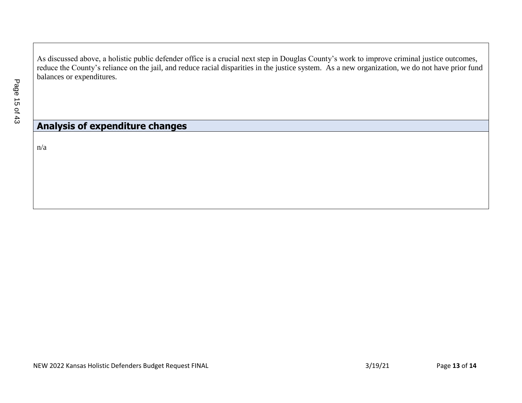As discussed above, a holistic public defender office is a crucial next step in Douglas County's work to improve criminal justice outcomes, reduce the County's reliance on the jail, and reduce racial disparities in the justice system. As a new organization, we do not have prior fund balances or expenditures.

### **Analysis of expenditure changes**

n/a

NEW 2022 Kansas Holistic Defenders Budget Request FINAL 3/19/21 Page 13 of 14